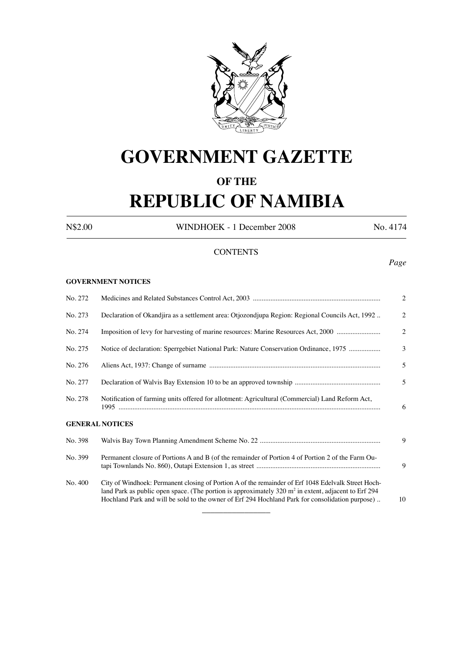

# **GOVERNMENT GAZETTE**

## **OF THE**

# **REPUBLIC OF NAMIBIA**

N\$2.00 WINDHOEK - 1 December 2008 No. 4174

## **CONTENTS**

#### **GOVERNMENT NOTICES**

| No. 272 |                                                                                                                                                                                                                                                                                                                           |                |  |
|---------|---------------------------------------------------------------------------------------------------------------------------------------------------------------------------------------------------------------------------------------------------------------------------------------------------------------------------|----------------|--|
| No. 273 | Declaration of Okandjira as a settlement area: Otjozondjupa Region: Regional Councils Act, 1992                                                                                                                                                                                                                           | $\overline{2}$ |  |
| No. 274 | Imposition of levy for harvesting of marine resources: Marine Resources Act, 2000                                                                                                                                                                                                                                         | $\overline{2}$ |  |
| No. 275 | Notice of declaration: Sperrgebiet National Park: Nature Conservation Ordinance, 1975                                                                                                                                                                                                                                     | $\overline{3}$ |  |
| No. 276 |                                                                                                                                                                                                                                                                                                                           | 5              |  |
| No. 277 |                                                                                                                                                                                                                                                                                                                           | 5              |  |
| No. 278 | Notification of farming units offered for allotment: Agricultural (Commercial) Land Reform Act,                                                                                                                                                                                                                           | 6              |  |
|         | <b>GENERAL NOTICES</b>                                                                                                                                                                                                                                                                                                    |                |  |
| No. 398 |                                                                                                                                                                                                                                                                                                                           | 9              |  |
| No. 399 | Permanent closure of Portions A and B (of the remainder of Portion 4 of Portion 2 of the Farm Ou-                                                                                                                                                                                                                         | 9              |  |
| No. 400 | City of Windhoek: Permanent closing of Portion A of the remainder of Erf 1048 Edelvalk Street Hoch-<br>land Park as public open space. (The portion is approximately $320 \text{ m}^2$ in extent, adjacent to Erf 294<br>Hochland Park and will be sold to the owner of Erf 294 Hochland Park for consolidation purpose). | 10             |  |

 $\overline{\phantom{a}}$  , where  $\overline{\phantom{a}}$ 

## *Page*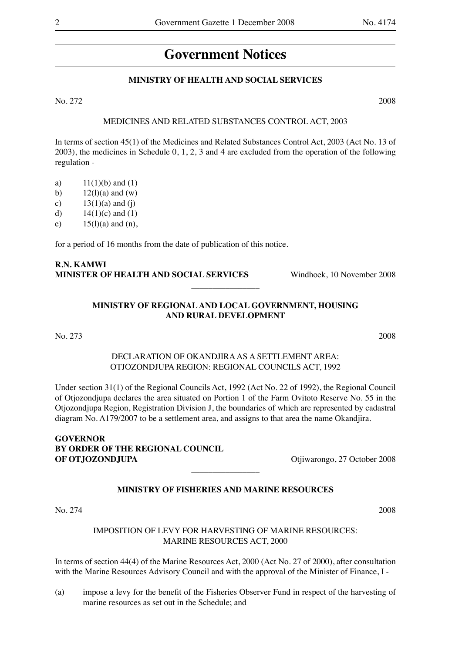# **Government Notices**

## **MINISTRY OF HEALTH AND SOCIAL SERVICES**

No. 272 2008

#### MEDICINES AND RELATED SUBSTANCES CONTROL ACT, 2003

In terms of section 45(1) of the Medicines and Related Substances Control Act, 2003 (Act No. 13 of 2003), the medicines in Schedule 0, 1, 2, 3 and 4 are excluded from the operation of the following regulation -

- a)  $11(1)(b)$  and  $(1)$
- b)  $12(1)(a)$  and  $(w)$
- c)  $13(1)(a)$  and (j)
- d)  $14(1)(c)$  and  $(1)$
- e)  $15(1)(a)$  and  $(n)$ ,

for a period of 16 months from the date of publication of this notice.

## **R.N. KAMWI MINISTER OF HEALTH AND SOCIAL SERVICES** Windhoek, 10 November 2008

## **MINISTRY OF REGIONAL AND LOCAL GOVERNMENT, HOUSING AND RURAL DEVELOPMENT**

 $\overline{\phantom{a}}$  , where  $\overline{\phantom{a}}$ 

No. 273 2008

## DECLARATION OF OKANDJIRA AS A SETTLEMENT AREA: OTJOZONDJUPA REGION: REGIONAL COUNCILS ACT, 1992

Under section 31(1) of the Regional Councils Act, 1992 (Act No. 22 of 1992), the Regional Council of Otjozondjupa declares the area situated on Portion 1 of the Farm Ovitoto Reserve No. 55 in the Otjozondjupa Region, Registration Division J, the boundaries of which are represented by cadastral diagram No. A179/2007 to be a settlement area, and assigns to that area the name Okandjira.

**GOVERNOR BY ORDER OF THE REGIONAL COUNCIL OF OTJOZONDJUPA** Otjiwarongo, 27 October 2008

## **MINISTRY OF FISHERIES AND MARINE RESOURCES**

 $\overline{\phantom{a}}$  , where  $\overline{\phantom{a}}$ 

No. 274 2008

## IMPOSITION OF LEVY FOR HARVESTING OF MARINE RESOURCES: MARINE RESOURCES ACT, 2000

In terms of section 44(4) of the Marine Resources Act, 2000 (Act No. 27 of 2000), after consultation with the Marine Resources Advisory Council and with the approval of the Minister of Finance, I -

(a) impose a levy for the benefit of the Fisheries Observer Fund in respect of the harvesting of marine resources as set out in the Schedule; and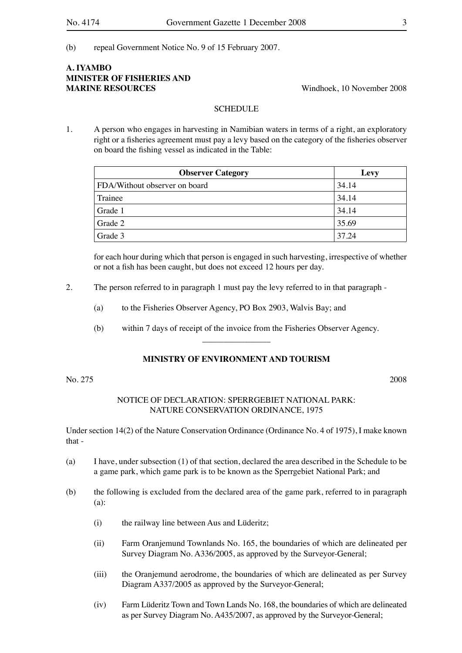(b) repeal Government Notice No. 9 of 15 February 2007.

## **A. IYAMBO MINISTER OF FISHERIES AND MARINE RESOURCES** Windhoek, 10 November 2008

## SCHEDULE.

1. A person who engages in harvesting in Namibian waters in terms of a right, an exploratory right or a fisheries agreement must pay a levy based on the category of the fisheries observer on board the fishing vessel as indicated in the Table:

| <b>Observer Category</b>      | Levy  |
|-------------------------------|-------|
| FDA/Without observer on board | 34.14 |
| Trainee                       | 34.14 |
| Grade 1                       | 34.14 |
| Grade 2                       | 35.69 |
| Grade 3                       | 37.24 |

for each hour during which that person is engaged in such harvesting, irrespective of whether or not a fish has been caught, but does not exceed 12 hours per day.

- 2. The person referred to in paragraph 1 must pay the levy referred to in that paragraph
	- (a) to the Fisheries Observer Agency, PO Box 2903, Walvis Bay; and
	- (b) within 7 days of receipt of the invoice from the Fisheries Observer Agency.  $\overline{\phantom{a}}$  , where  $\overline{\phantom{a}}$

#### **MINISTRY OF ENVIRONMENT AND TOURISM**

No. 275 2008

## NOTICE OF DECLARATION: SPERRGEBIET NATIONAL PARK: NATURE CONSERVATION ORDINANCE, 1975

Under section 14(2) of the Nature Conservation Ordinance (Ordinance No. 4 of 1975), I make known that -

- (a) I have, under subsection (1) of that section, declared the area described in the Schedule to be a game park, which game park is to be known as the Sperrgebiet National Park; and
- (b) the following is excluded from the declared area of the game park, referred to in paragraph (a):
	- (i) the railway line between Aus and Lüderitz;
	- (ii) Farm Oranjemund Townlands No. 165, the boundaries of which are delineated per Survey Diagram No. A336/2005, as approved by the Surveyor-General;
	- (iii) the Oranjemund aerodrome, the boundaries of which are delineated as per Survey Diagram A337/2005 as approved by the Surveyor-General;
	- (iv) Farm Lüderitz Town and Town Lands No. 168, the boundaries of which are delineated as per Survey Diagram No. A435/2007, as approved by the Surveyor-General;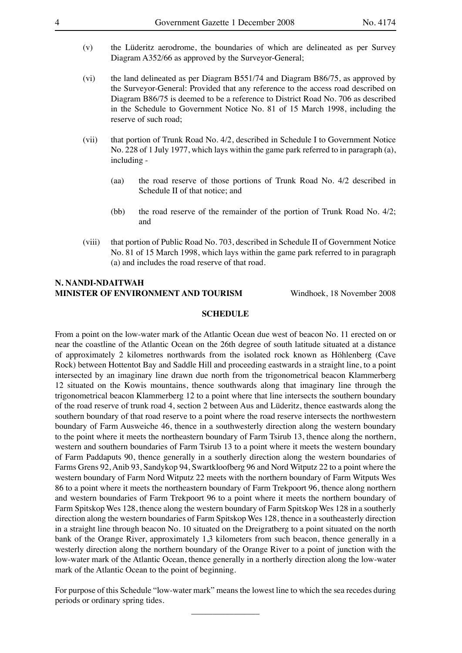- (v) the Lüderitz aerodrome, the boundaries of which are delineated as per Survey Diagram A352/66 as approved by the Surveyor-General;
- (vi) the land delineated as per Diagram B551/74 and Diagram B86/75, as approved by the Surveyor-General: Provided that any reference to the access road described on Diagram B86/75 is deemed to be a reference to District Road No. 706 as described in the Schedule to Government Notice No. 81 of 15 March 1998, including the reserve of such road;
- (vii) that portion of Trunk Road No. 4/2, described in Schedule I to Government Notice No. 228 of 1 July 1977, which lays within the game park referred to in paragraph (a), including -
	- (aa) the road reserve of those portions of Trunk Road No. 4/2 described in Schedule II of that notice; and
	- (bb) the road reserve of the remainder of the portion of Trunk Road No. 4/2; and
- (viii) that portion of Public Road No. 703, described in Schedule II of Government Notice No. 81 of 15 March 1998, which lays within the game park referred to in paragraph (a) and includes the road reserve of that road.

## **N. NANDI-NDAITWAH MINISTER OF ENVIRONMENT AND TOURISM** Windhoek, 18 November 2008

#### **SCHEDULE**

From a point on the low-water mark of the Atlantic Ocean due west of beacon No. 11 erected on or near the coastline of the Atlantic Ocean on the 26th degree of south latitude situated at a distance of approximately 2 kilometres northwards from the isolated rock known as Höhlenberg (Cave Rock) between Hottentot Bay and Saddle Hill and proceeding eastwards in a straight line, to a point intersected by an imaginary line drawn due north from the trigonometrical beacon Klammerberg 12 situated on the Kowis mountains, thence southwards along that imaginary line through the trigonometrical beacon Klammerberg 12 to a point where that line intersects the southern boundary of the road reserve of trunk road 4, section 2 between Aus and Lüderitz, thence eastwards along the southern boundary of that road reserve to a point where the road reserve intersects the northwestern boundary of Farm Ausweiche 46, thence in a southwesterly direction along the western boundary to the point where it meets the northeastern boundary of Farm Tsirub 13, thence along the northern, western and southern boundaries of Farm Tsirub 13 to a point where it meets the western boundary of Farm Paddaputs 90, thence generally in a southerly direction along the western boundaries of Farms Grens 92, Anib 93, Sandykop 94, Swartkloofberg 96 and Nord Witputz 22 to a point where the western boundary of Farm Nord Witputz 22 meets with the northern boundary of Farm Witputs Wes 86 to a point where it meets the northeastern boundary of Farm Trekpoort 96, thence along northern and western boundaries of Farm Trekpoort 96 to a point where it meets the northern boundary of Farm Spitskop Wes 128, thence along the western boundary of Farm Spitskop Wes 128 in a southerly direction along the western boundaries of Farm Spitskop Wes 128, thence in a southeasterly direction in a straight line through beacon No. 10 situated on the Dreigratberg to a point situated on the north bank of the Orange River, approximately 1,3 kilometers from such beacon, thence generally in a westerly direction along the northern boundary of the Orange River to a point of junction with the low-water mark of the Atlantic Ocean, thence generally in a northerly direction along the low-water mark of the Atlantic Ocean to the point of beginning.

For purpose of this Schedule "low-water mark" means the lowest line to which the sea recedes during periods or ordinary spring tides.

 $\overline{\phantom{a}}$  , where  $\overline{\phantom{a}}$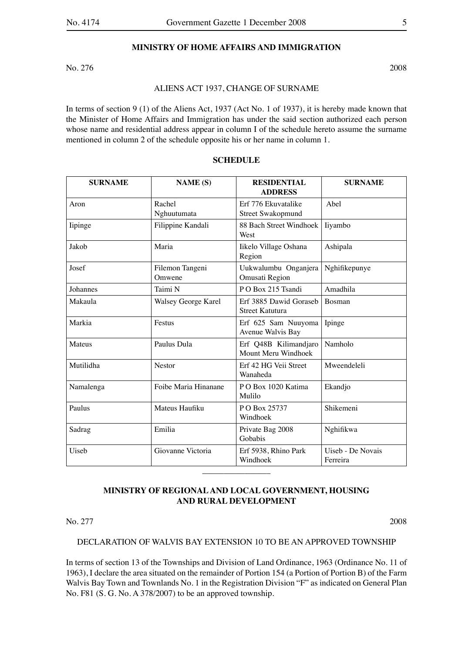## **MINISTRY OF HOME AFFAIRS AND IMMIGRATION**

No. 276 2008

#### ALIENS ACT 1937, CHANGE OF SURNAME

In terms of section 9 (1) of the Aliens Act, 1937 (Act No. 1 of 1937), it is hereby made known that the Minister of Home Affairs and Immigration has under the said section authorized each person whose name and residential address appear in column I of the schedule hereto assume the surname mentioned in column 2 of the schedule opposite his or her name in column 1.

| <b>SURNAME</b> | <b>NAME</b> (S)           | <b>RESIDENTIAL</b><br><b>ADDRESS</b>             | <b>SURNAME</b>                |
|----------------|---------------------------|--------------------------------------------------|-------------------------------|
| Aron           | Rachel<br>Nghuutumata     | Erf 776 Ekuvatalike<br><b>Street Swakopmund</b>  | Abel                          |
| lipinge        | Filippine Kandali         | 88 Bach Street Windhoek<br>West                  | liyambo                       |
| Jakob          | Maria                     | Iikelo Village Oshana<br>Region                  | Ashipala                      |
| Josef          | Filemon Tangeni<br>Omwene | Uukwalumbu Onganjera<br>Omusati Region           | Nghifikepunye                 |
| Johannes       | Taimi N                   | PO Box 215 Tsandi                                | Amadhila                      |
| Makaula        | Walsey George Karel       | Erf 3885 Dawid Goraseb<br><b>Street Katutura</b> | Bosman                        |
| Markia         | Festus                    | Erf 625 Sam Nuuyoma<br>Avenue Walvis Bay         | Ipinge                        |
| Mateus         | Paulus Dula               | Erf Q48B Kilimandjaro<br>Mount Meru Windhoek     | Namholo                       |
| Mutilidha      | <b>Nestor</b>             | Erf 42 HG Veii Street<br>Wanaheda                | Mweendeleli                   |
| Namalenga      | Foibe Maria Hinanane      | PO Box 1020 Katima<br>Mulilo                     | Ekandjo                       |
| Paulus         | Mateus Haufiku            | PO Box 25737<br>Windhoek                         | Shikemeni                     |
| Sadrag         | Emilia                    | Private Bag 2008<br>Nghifikwa<br>Gobabis         |                               |
| Uiseb          | Giovanne Victoria         | Erf 5938, Rhino Park<br>Windhoek                 | Uiseb - De Novais<br>Ferreira |

#### **SCHEDULE**

## **MINISTRY OF REGIONAL AND LOCAL GOVERNMENT, HOUSING AND RURAL DEVELOPMENT**

 $\overline{\phantom{a}}$  , where  $\overline{\phantom{a}}$ 

No. 277 2008

#### DECLARATION OF WALVIS BAY EXTENSION 10 TO BE AN APPROVED TOWNSHIP

In terms of section 13 of the Townships and Division of Land Ordinance, 1963 (Ordinance No. 11 of 1963), I declare the area situated on the remainder of Portion 154 (a Portion of Portion B) of the Farm Walvis Bay Town and Townlands No. 1 in the Registration Division "F" as indicated on General Plan No. F81 (S. G. No. A 378/2007) to be an approved township.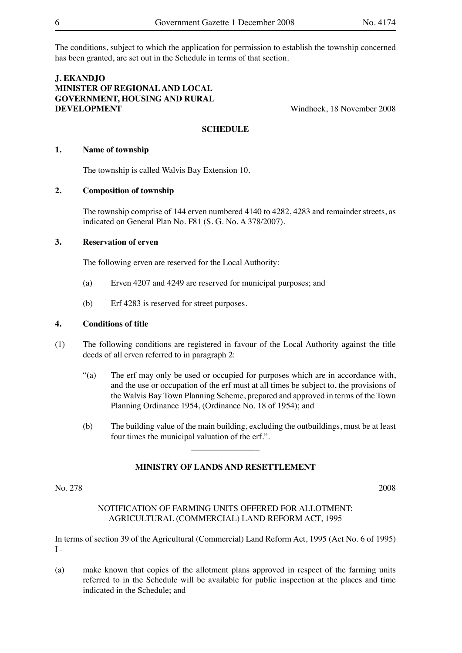The conditions, subject to which the application for permission to establish the township concerned has been granted, are set out in the Schedule in terms of that section.

## **J. EKANDJO MINISTER OF REGIONAL AND LOCAL GOVERNMENT, HOUSING AND RURAL DEVELOPMENT** Windhoek, 18 November 2008

## **SCHEDULE**

## **1. Name of township**

The township is called Walvis Bay Extension 10.

## **2. Composition of township**

The township comprise of 144 erven numbered 4140 to 4282, 4283 and remainder streets, as indicated on General Plan No. F81 (S. G. No. A 378/2007).

## **3. Reservation of erven**

The following erven are reserved for the Local Authority:

- (a) Erven 4207 and 4249 are reserved for municipal purposes; and
- (b) Erf 4283 is reserved for street purposes.

#### **4. Conditions of title**

- (1) The following conditions are registered in favour of the Local Authority against the title deeds of all erven referred to in paragraph 2:
	- "(a) The erf may only be used or occupied for purposes which are in accordance with, and the use or occupation of the erf must at all times be subject to, the provisions of the Walvis Bay Town Planning Scheme, prepared and approved in terms of the Town Planning Ordinance 1954, (Ordinance No. 18 of 1954); and
	- (b) The building value of the main building, excluding the outbuildings, must be at least four times the municipal valuation of the erf.".

#### **MINISTRY OF LANDS AND RESETTLEMENT**

 $\overline{\phantom{a}}$  , where  $\overline{\phantom{a}}$ 

No. 278 2008

## NOTIFICATION OF FARMING UNITS OFFERED FOR ALLOTMENT: AGRICULTURAL (COMMERCIAL) LAND REFORM ACT, 1995

In terms of section 39 of the Agricultural (Commercial) Land Reform Act, 1995 (Act No. 6 of 1995)  $I =$ 

(a) make known that copies of the allotment plans approved in respect of the farming units referred to in the Schedule will be available for public inspection at the places and time indicated in the Schedule; and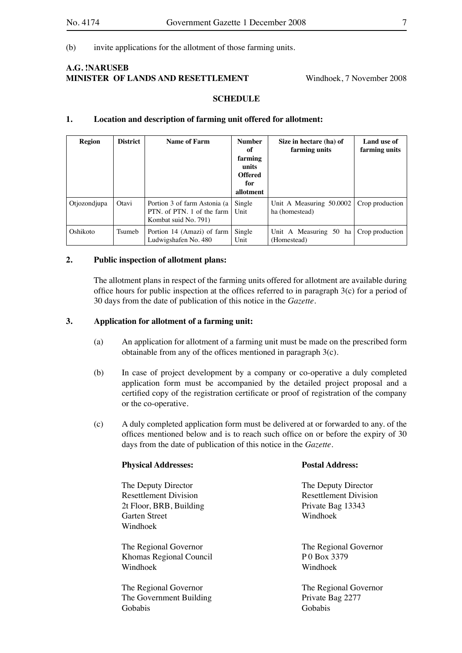#### (b) invite applications for the allotment of those farming units.

## **A.G. !NARUSEB MINISTER OF LANDS AND RESETTLEMENT** Windhoek, 7 November 2008

#### **SCHEDULE**

#### **1. Location and description of farming unit offered for allotment:**

| Region       | <b>District</b> | <b>Name of Farm</b>                                                                | <b>Number</b><br>оf<br>farming<br>units<br><b>Offered</b><br>for<br>allotment | Size in hectare (ha) of<br>farming units   | Land use of<br>farming units |
|--------------|-----------------|------------------------------------------------------------------------------------|-------------------------------------------------------------------------------|--------------------------------------------|------------------------------|
| Otjozondjupa | Otavi           | Portion 3 of farm Astonia (a<br>PTN, of PTN, 1 of the farm<br>Kombat suid No. 791) | Single<br>Unit                                                                | Unit A Measuring 50.0002<br>ha (homestead) | Crop production              |
| Oshikoto     | Tsumeb          | Portion 14 (Amazi) of farm<br>Ludwigshafen No. 480                                 | Single<br>Unit                                                                | Unit A Measuring 50 ha<br>(Homestead)      | Crop production              |

#### **2. Public inspection of allotment plans:**

The allotment plans in respect of the farming units offered for allotment are available during office hours for public inspection at the offices referred to in paragraph 3(c) for a period of 30 days from the date of publication of this notice in the *Gazette.*

## **3. Application for allotment of a farming unit:**

- (a) An application for allotment of a farming unit must be made on the prescribed form obtainable from any of the offices mentioned in paragraph 3(c).
- (b) In case of project development by a company or co-operative a duly completed application form must be accompanied by the detailed project proposal and a certified copy of the registration certificate or proof of registration of the company or the co-operative.
- (c) A duly completed application form must be delivered at or forwarded to any. of the offices mentioned below and is to reach such office on or before the expiry of 30 days from the date of publication of this notice in the *Gazette.*

| <b>Physical Addresses:</b>   | <b>Postal Address:</b>       |  |  |
|------------------------------|------------------------------|--|--|
| The Deputy Director          | The Deputy Director          |  |  |
| <b>Resettlement Division</b> | <b>Resettlement Division</b> |  |  |
| 2t Floor, BRB, Building      | Private Bag 13343            |  |  |
| <b>Garten Street</b>         | Windhoek                     |  |  |
| Windhoek                     |                              |  |  |
| The Regional Governor        | The Regional Governor        |  |  |
| Khomas Regional Council      | P0 Box 3379                  |  |  |
| Windhoek                     | Windhoek                     |  |  |
| The Regional Governor        | The Regional Governor        |  |  |
| The Government Building      | Private Bag 2277             |  |  |
| Gobabis                      | Gobabis                      |  |  |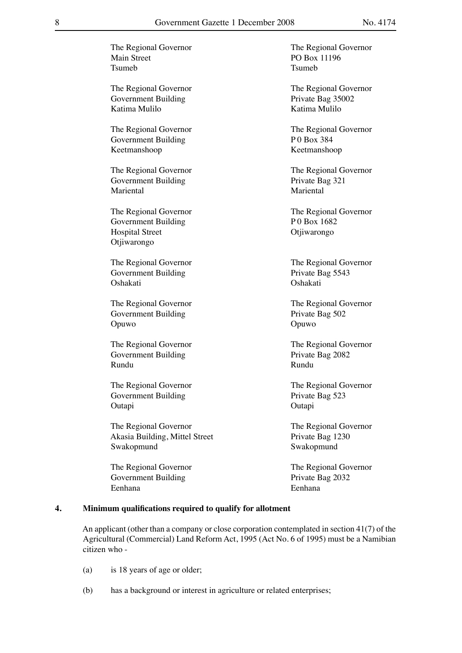The Regional Governor The Regional Governor Main Street PO Box 11196 Tsumeb Tsumeb Tsumeb The Regional Governor The Regional Governor Government Building Private Bag 35002 Katima Mulilo Katima Mulilo The Regional Governor The Regional Governor Government Building P 0 Box 384 Keetmanshoop Keetmanshoop The Regional Governor The Regional Governor Government Building Private Bag 321 Mariental Mariental The Regional Governor The Regional Governor Government Building P 0 Box 1682 Hospital Street Otijiwarongo Otjiwarongo The Regional Governor The Regional Governor Government Building Private Bag 5543 Oshakati Oshakati The Regional Governor The Regional Governor Government Building Private Bag 502 Opuwo Opuwo The Regional Governor The Regional Governor Government Building Private Bag 2082 Rundu **Rundu** Rundu The Regional Governor The Regional Governor Government Building Private Bag 523 Outapi Outapi The Regional Governor The Regional Governor Akasia Building, Mittel Street Private Bag 1230 Swakopmund Swakopmund The Regional Governor The Regional Governor Government Building Private Bag 2032 Eenhana Eenhana

## **4. Minimum qualifications required to qualify for allotment**

An applicant (other than a company or close corporation contemplated in section 41(7) of the Agricultural (Commercial) Land Reform Act, 1995 (Act No. 6 of 1995) must be a Namibian citizen who -

- (a) is 18 years of age or older;
- (b) has a background or interest in agriculture or related enterprises;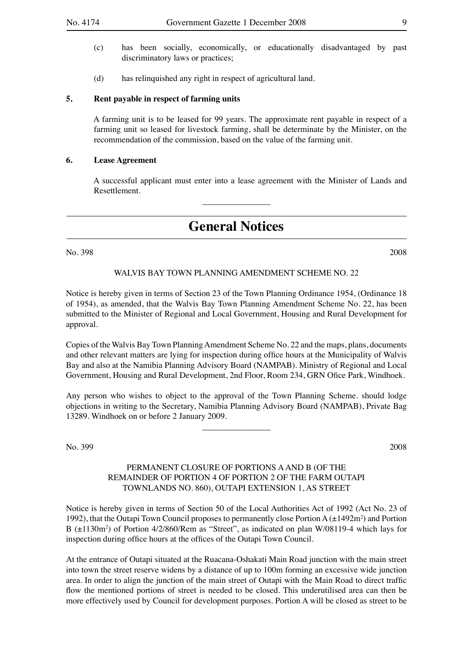- (c) has been socially, economically, or educationally disadvantaged by past discriminatory laws or practices;
- (d) has relinquished any right in respect of agricultural land.

#### **5. Rent payable in respect of farming units**

A farming unit is to be leased for 99 years. The approximate rent payable in respect of a farming unit so leased for livestock farming, shall be determinate by the Minister, on the recommendation of the commission, based on the value of the farming unit.

#### **6. Lease Agreement**

A successful applicant must enter into a lease agreement with the Minister of Lands and Resettlement.

## **General Notices**

\_\_\_\_\_\_\_\_\_\_\_\_\_\_\_\_

No. 398 2008

WALVIS BAY TOWN PLANNING AMENDMENT SCHEME NO. 22

Notice is hereby given in terms of Section 23 of the Town Planning Ordinance 1954, (Ordinance 18 of 1954), as amended, that the Walvis Bay Town Planning Amendment Scheme No. 22, has been submitted to the Minister of Regional and Local Government, Housing and Rural Development for approval.

Copies of the Walvis Bay Town Planning Amendment Scheme No. 22 and the maps, plans, documents and other relevant matters are lying for inspection during office hours at the Municipality of Walvis Bay and also at the Namibia Planning Advisory Board (NAMPAB). Ministry of Regional and Local Government, Housing and Rural Development, 2nd Floor, Room 234, GRN Ofice Park, Windhoek.

Any person who wishes to object to the approval of the Town Planning Scheme. should lodge objections in writing to the Secretary, Namibia Planning Advisory Board (NAMPAB), Private Bag 13289. Windhoek on or before 2 January 2009.

 $\overline{\phantom{a}}$  , where  $\overline{\phantom{a}}$ 

No. 399 2008

## PERMANENT CLOSURE OF PORTIONS A AND B (OF THE REMAINDER OF PORTION 4 OF PORTION 2 OF THE FARM OUTAPI TOWNLANDS NO. 860), OUTAPI EXTENSION 1, AS STREET

Notice is hereby given in terms of Section 50 of the Local Authorities Act of 1992 (Act No. 23 of 1992), that the Outapi Town Council proposes to permanently close Portion  $A(\pm 1492m^2)$  and Portion B ( $\pm$ 1130m<sup>2</sup>) of Portion 4/2/860/Rem as "Street", as indicated on plan W/08119-4 which lays for inspection during office hours at the offices of the Outapi Town Council.

At the entrance of Outapi situated at the Ruacana-Oshakati Main Road junction with the main street into town the street reserve widens by a distance of up to 100m forming an excessive wide junction area. In order to align the junction of the main street of Outapi with the Main Road to direct traffic flow the mentioned portions of street is needed to be closed. This underutilised area can then be more effectively used by Council for development purposes. Portion A will be closed as street to be